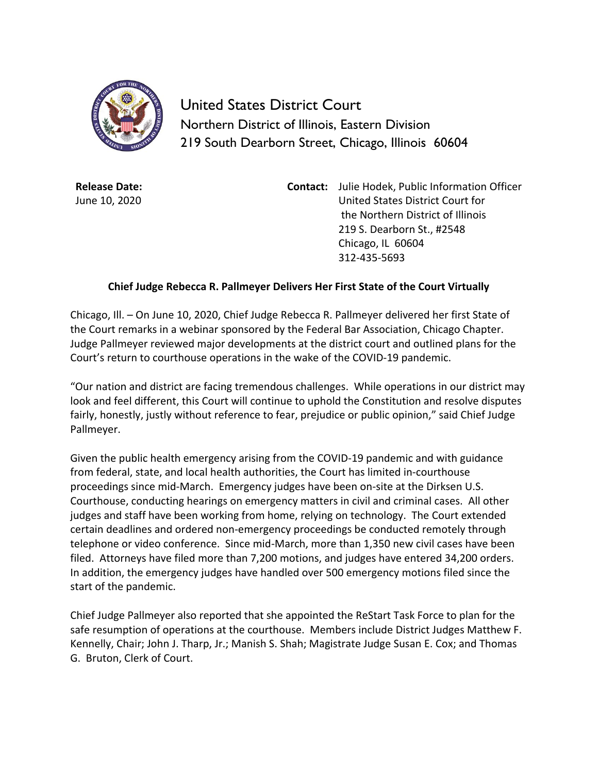

United States District Court Northern District of Illinois, Eastern Division 219 South Dearborn Street, Chicago, Illinois 60604

**Release Date:** June 10, 2020 **Contact:** Julie Hodek, Public Information Officer United States District Court for the Northern District of Illinois 219 S. Dearborn St., #2548 Chicago, IL 60604 312-435-5693

## **Chief Judge Rebecca R. Pallmeyer Delivers Her First State of the Court Virtually**

Chicago, Ill. – On June 10, 2020, Chief Judge Rebecca R. Pallmeyer delivered her first State of the Court remarks in a webinar sponsored by the Federal Bar Association, Chicago Chapter. Judge Pallmeyer reviewed major developments at the district court and outlined plans for the Court's return to courthouse operations in the wake of the COVID-19 pandemic.

"Our nation and district are facing tremendous challenges. While operations in our district may look and feel different, this Court will continue to uphold the Constitution and resolve disputes fairly, honestly, justly without reference to fear, prejudice or public opinion," said Chief Judge Pallmeyer.

Given the public health emergency arising from the COVID-19 pandemic and with guidance from federal, state, and local health authorities, the Court has limited in-courthouse proceedings since mid-March. Emergency judges have been on-site at the Dirksen U.S. Courthouse, conducting hearings on emergency matters in civil and criminal cases. All other judges and staff have been working from home, relying on technology. The Court extended certain deadlines and ordered non-emergency proceedings be conducted remotely through telephone or video conference. Since mid-March, more than 1,350 new civil cases have been filed. Attorneys have filed more than 7,200 motions, and judges have entered 34,200 orders. In addition, the emergency judges have handled over 500 emergency motions filed since the start of the pandemic.

Chief Judge Pallmeyer also reported that she appointed the ReStart Task Force to plan for the safe resumption of operations at the courthouse. Members include District Judges Matthew F. Kennelly, Chair; John J. Tharp, Jr.; Manish S. Shah; Magistrate Judge Susan E. Cox; and Thomas G. Bruton, Clerk of Court.